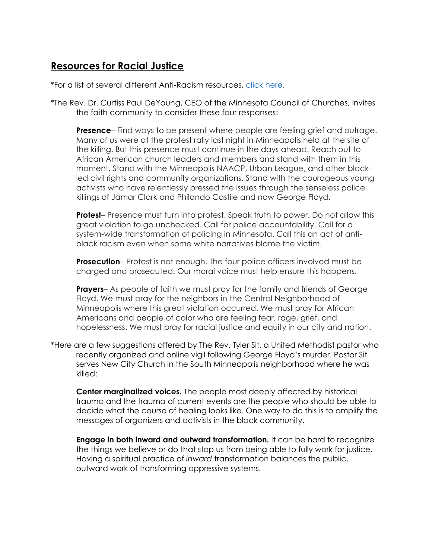## **Resources for Racial Justice**

\*For a list of several different Anti-Racism resources, [click here.](https://docs.google.com/document/d/1BRlF2_zhNe86SGgHa6-VlBO-QgirITwCTugSfKie5Fs/preview?pru=AAABcnX07hc*Pm8gUUGqTq4TxCwAWKNadg&fbclid=IwAR3YvizyD6pN3Q2r2zkF2P89nl_jdreOSCpxemkBGnulL1jTI49b-IkVuhs)

\*The Rev. Dr. Curtiss Paul DeYoung, CEO of the Minnesota Council of Churches, invites the faith community to consider these four responses:

**Presence**– Find ways to be present where people are feeling grief and outrage. Many of us were at the protest rally last night in Minneapolis held at the site of the killing. But this presence must continue in the days ahead. Reach out to African American church leaders and members and stand with them in this moment. Stand with the Minneapolis NAACP, Urban League, and other blackled civil rights and community organizations. Stand with the courageous young activists who have relentlessly pressed the issues through the senseless police killings of Jamar Clark and Philando Castile and now George Floyd.

**Protest**– Presence must turn into protest. Speak truth to power. Do not allow this great violation to go unchecked. Call for police accountability. Call for a system-wide transformation of policing in Minnesota. Call this an act of antiblack racism even when some white narratives blame the victim.

**Prosecution**– Protest is not enough. The four police officers involved must be charged and prosecuted. Our moral voice must help ensure this happens.

**Prayers**– As people of faith we must pray for the family and friends of George Floyd. We must pray for the neighbors in the Central Neighborhood of Minneapolis where this great violation occurred. We must pray for African Americans and people of color who are feeling fear, rage, grief, and hopelessness. We must pray for racial justice and equity in our city and nation.

\*Here are a few suggestions offered by The Rev. Tyler Sit, a United Methodist pastor who recently organized and online vigil following George Floyd's murder. Pastor Sit serves New City Church in the South Minneapolis neighborhood where he was killed:

**Center marginalized voices.** The people most deeply affected by historical trauma and the trauma of current events are the people who should be able to decide what the course of healing looks like. One way to do this is to amplify the messages of organizers and activists in the black community.

**Engage in both inward and outward transformation.** It can be hard to recognize the things we believe or do that stop us from being able to fully work for justice. Having a spiritual practice of *inward* transformation balances the public, outward work of transforming oppressive systems.